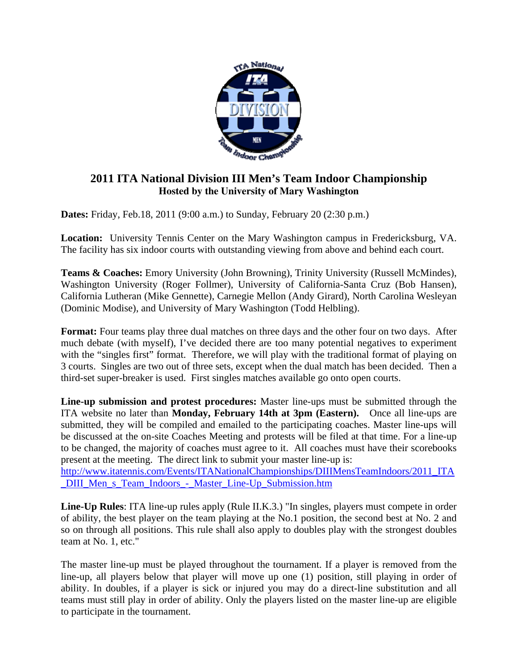

# **2011 ITA National Division III Men's Team Indoor Championship Hosted by the University of Mary Washington**

**Dates:** Friday, Feb.18, 2011 (9:00 a.m.) to Sunday, February 20 (2:30 p.m.)

**Location:** University Tennis Center on the Mary Washington campus in Fredericksburg, VA. The facility has six indoor courts with outstanding viewing from above and behind each court.

**Teams & Coaches:** Emory University (John Browning), Trinity University (Russell McMindes), Washington University (Roger Follmer), University of California-Santa Cruz (Bob Hansen), California Lutheran (Mike Gennette), Carnegie Mellon (Andy Girard), North Carolina Wesleyan (Dominic Modise), and University of Mary Washington (Todd Helbling).

**Format:** Four teams play three dual matches on three days and the other four on two days. After much debate (with myself), I've decided there are too many potential negatives to experiment with the "singles first" format. Therefore, we will play with the traditional format of playing on 3 courts. Singles are two out of three sets, except when the dual match has been decided. Then a third-set super-breaker is used. First singles matches available go onto open courts.

**Line-up submission and protest procedures:** Master line-ups must be submitted through the ITA website no later than **Monday, February 14th at 3pm (Eastern).** Once all line-ups are submitted, they will be compiled and emailed to the participating coaches. Master line-ups will be discussed at the on-site Coaches Meeting and protests will be filed at that time. For a line-up to be changed, the majority of coaches must agree to it. All coaches must have their scorebooks present at the meeting. The direct link to submit your master line-up is:

[http://www.itatennis.com/Events/ITANationalChampionships/DIIIMensTeamIndoors/2011\\_ITA](http://www.itatennis.com/Events/ITANationalChampionships/DIIIMensTeamIndoors/2011_ITA_DIII_Men_s_Team_Indoors_-_Master_Line-Up_Submission.htm) [\\_DIII\\_Men\\_s\\_Team\\_Indoors\\_-\\_Master\\_Line-Up\\_Submission.htm](http://www.itatennis.com/Events/ITANationalChampionships/DIIIMensTeamIndoors/2011_ITA_DIII_Men_s_Team_Indoors_-_Master_Line-Up_Submission.htm) 

**Line-Up Rules**: ITA line-up rules apply (Rule II.K.3.) "In singles, players must compete in order of ability, the best player on the team playing at the No.1 position, the second best at No. 2 and so on through all positions. This rule shall also apply to doubles play with the strongest doubles team at No. 1, etc."

The master line-up must be played throughout the tournament. If a player is removed from the line-up, all players below that player will move up one (1) position, still playing in order of ability. In doubles, if a player is sick or injured you may do a direct-line substitution and all teams must still play in order of ability. Only the players listed on the master line-up are eligible to participate in the tournament.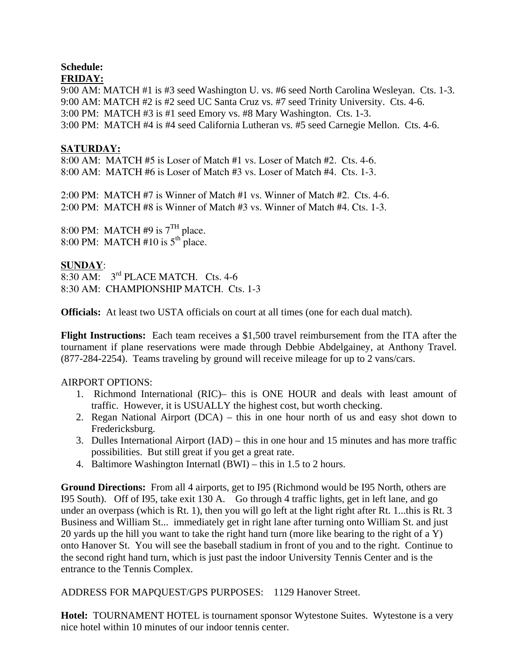#### **Schedule: FRIDAY:**

9:00 AM: MATCH #1 is #3 seed Washington U. vs. #6 seed North Carolina Wesleyan. Cts. 1-3. 9:00 AM: MATCH #2 is #2 seed UC Santa Cruz vs. #7 seed Trinity University. Cts. 4-6. 3:00 PM: MATCH #3 is #1 seed Emory vs. #8 Mary Washington. Cts. 1-3. 3:00 PM: MATCH #4 is #4 seed California Lutheran vs. #5 seed Carnegie Mellon. Cts. 4-6.

## **SATURDAY:**

8:00 AM: MATCH #5 is Loser of Match #1 vs. Loser of Match #2. Cts. 4-6. 8:00 AM: MATCH #6 is Loser of Match #3 vs. Loser of Match #4. Cts. 1-3.

2:00 PM: MATCH #7 is Winner of Match #1 vs. Winner of Match #2. Cts. 4-6. 2:00 PM: MATCH #8 is Winner of Match #3 vs. Winner of Match #4. Cts. 1-3.

8:00 PM: MATCH #9 is  $7<sup>TH</sup>$  place. 8:00 PM: MATCH #10 is  $5<sup>th</sup>$  place.

### **SUNDAY**:

8:30 AM: 3rd PLACE MATCH. Cts. 4-6 8:30 AM: CHAMPIONSHIP MATCH. Cts. 1-3

**Officials:** At least two USTA officials on court at all times (one for each dual match).

**Flight Instructions:** Each team receives a \$1,500 travel reimbursement from the ITA after the tournament if plane reservations were made through Debbie Abdelgainey, at Anthony Travel. (877-284-2254). Teams traveling by ground will receive mileage for up to 2 vans/cars.

### AIRPORT OPTIONS:

- 1. Richmond International (RIC)– this is ONE HOUR and deals with least amount of traffic. However, it is USUALLY the highest cost, but worth checking.
- 2. Regan National Airport (DCA) this in one hour north of us and easy shot down to Fredericksburg.
- 3. Dulles International Airport (IAD) this in one hour and 15 minutes and has more traffic possibilities. But still great if you get a great rate.
- 4. Baltimore Washington Internatl (BWI) this in 1.5 to 2 hours.

**Ground Directions:** From all 4 airports, get to I95 (Richmond would be I95 North, others are I95 South). Off of I95, take exit 130 A. Go through 4 traffic lights, get in left lane, and go under an overpass (which is Rt. 1), then you will go left at the light right after Rt. 1...this is Rt. 3 Business and William St... immediately get in right lane after turning onto William St. and just 20 yards up the hill you want to take the right hand turn (more like bearing to the right of a Y) onto Hanover St. You will see the baseball stadium in front of you and to the right. Continue to the second right hand turn, which is just past the indoor University Tennis Center and is the entrance to the Tennis Complex.

ADDRESS FOR MAPQUEST/GPS PURPOSES: 1129 Hanover Street.

**Hotel:** TOURNAMENT HOTEL is tournament sponsor Wytestone Suites. Wytestone is a very nice hotel within 10 minutes of our indoor tennis center.